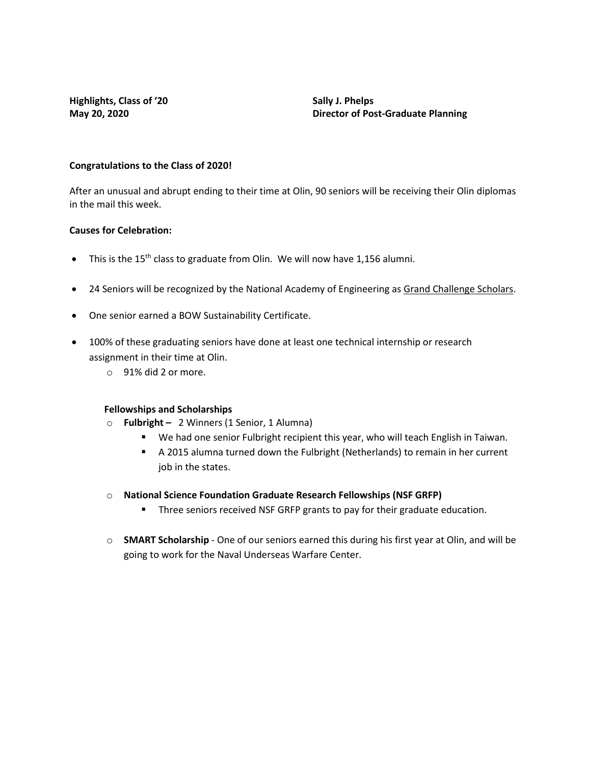**Highlights, Class of '20 Sally J. Phelps**

**May 20, 2020 Director of Post-Graduate Planning**

### **Congratulations to the Class of 2020!**

After an unusual and abrupt ending to their time at Olin, 90 seniors will be receiving their Olin diplomas in the mail this week.

# **Causes for Celebration:**

- This is the  $15<sup>th</sup>$  class to graduate from Olin. We will now have 1,156 alumni.
- 24 Seniors will be recognized by the National Academy of Engineering as [Grand Challenge Scholars.](http://www.olin.edu/academics/other-opportunities/grand-challenge-scholars-program/about-us/)
- One senior earned a BOW Sustainability Certificate.
- 100% of these graduating seniors have done at least one technical internship or research assignment in their time at Olin.
	- o 91% did 2 or more.

### **Fellowships and Scholarships**

- o **Fulbright** 2 Winners (1 Senior, 1 Alumna)
	- We had one senior Fulbright recipient this year, who will teach English in Taiwan.
	- A 2015 alumna turned down the Fulbright (Netherlands) to remain in her current job in the states.
- o **National Science Foundation Graduate Research Fellowships (NSF GRFP)**
	- **Three seniors received NSF GRFP grants to pay for their graduate education.**
- o **SMART Scholarship** One of our seniors earned this during his first year at Olin, and will be going to work for the Naval Underseas Warfare Center.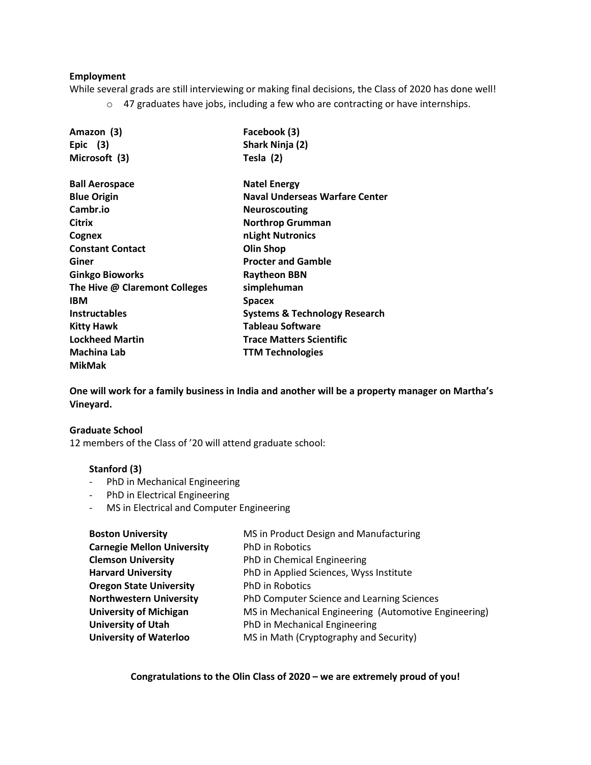## **Employment**

While several grads are still interviewing or making final decisions, the Class of 2020 has done well! o 47 graduates have jobs, including a few who are contracting or have internships.

| Amazon (3)                    | Facebook (3)                    |
|-------------------------------|---------------------------------|
| Epic $(3)$                    | Shark Ninja (2)                 |
| Microsoft (3)                 | Tesla (2)                       |
| <b>Ball Aerospace</b>         | <b>Natel Energy</b>             |
| <b>Blue Origin</b>            | Naval Underseas Warfare Center  |
| Cambr.io                      | <b>Neuroscouting</b>            |
| Citrix                        | Northrop Grumman                |
| Cognex                        | nLight Nutronics                |
| <b>Constant Contact</b>       | <b>Olin Shop</b>                |
| Giner                         | <b>Procter and Gamble</b>       |
| <b>Ginkgo Bioworks</b>        | <b>Raytheon BBN</b>             |
| The Hive @ Claremont Colleges | simplehuman                     |
| <b>IBM</b>                    | <b>Spacex</b>                   |
| <b>Instructables</b>          | Systems & Technology Research   |
| <b>Kitty Hawk</b>             | <b>Tableau Software</b>         |
| <b>Lockheed Martin</b>        | <b>Trace Matters Scientific</b> |
| <b>Machina Lab</b>            | <b>TTM Technologies</b>         |
| <b>MikMak</b>                 |                                 |

**One will work for a family business in India and another will be a property manager on Martha's Vineyard.** 

### **Graduate School**

12 members of the Class of '20 will attend graduate school:

### **Stanford (3)**

- PhD in Mechanical Engineering
- PhD in Electrical Engineering
- MS in Electrical and Computer Engineering

| MS in Product Design and Manufacturing                |
|-------------------------------------------------------|
| PhD in Robotics                                       |
| PhD in Chemical Engineering                           |
| PhD in Applied Sciences, Wyss Institute               |
| PhD in Robotics                                       |
| PhD Computer Science and Learning Sciences            |
| MS in Mechanical Engineering (Automotive Engineering) |
| PhD in Mechanical Engineering                         |
| MS in Math (Cryptography and Security)                |
|                                                       |

**Congratulations to the Olin Class of 2020 – we are extremely proud of you!**